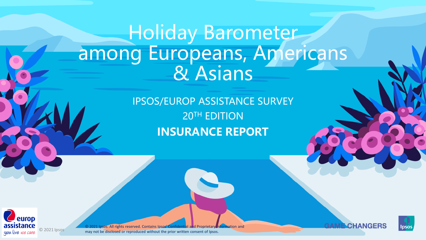## Holiday Barometer among Europeans, Americans & Asians

IPSOS/EUROP ASSISTANCE SURVEY 20TH EDITION **INSURANCE REPORT**



© 2021 Ipsos. All rights reserved. Contains Ipsos' Confidential and Proprietary information and may not be disclosed or reproduced without the prior written consent of Ipsos.



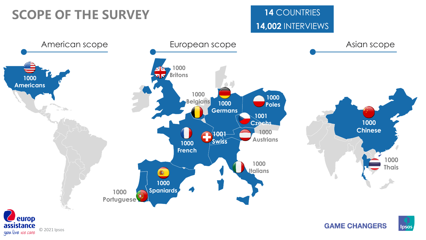## **SCOPE OF THE SURVEY**

## **14** COUNTRIES **14,002** INTERVIEWS

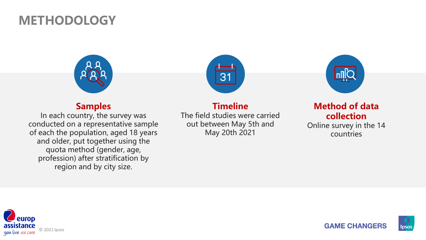## **METHODOLOGY**



#### **Samples**

In each country, the survey was conducted on a representative sample of each the population, aged 18 years and older, put together using the quota method (gender, age, profession) after stratification by region and by city size.



#### **Timeline**

The field studies were carried out between May 5th and May 20th 2021



#### **Method of data collection**

Online survey in the 14 countries



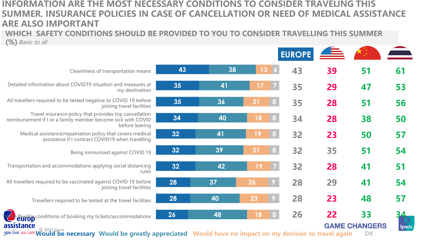#### **INFORMATION ARE THE MOST NECESSARY CONDITIONS TO CONSIDER TRAVELING THIS SUMMER. INSURANCE POLICIES IN CASE OF CANCELLATION OR NEED OF MEDICAL ASSISTANCE ARE ALSO IMPORTANT**

**WHICH SAFETY CONDITIONS SHOULD BE PROVIDED TO YOU TO CONSIDER TRAVELLING THIS SUMMER (%)** Basis: to all

|                                                                                                                                           |    |    |                      | <b>EUROPE</b> |    |                            | $\overline{\phantom{a}}$ |
|-------------------------------------------------------------------------------------------------------------------------------------------|----|----|----------------------|---------------|----|----------------------------|--------------------------|
| Cleanliness of transportation means                                                                                                       | 43 | 38 | 13                   | 43            | 39 | 51                         | 61                       |
| Detailed information about COVID19 situation and measures at<br>my destination                                                            | 35 | 41 | 17<br>$\vert$ 7      | 35            | 29 | 47                         | 53                       |
| All travellers required to be tested negative to COVID 19 before<br>joining travel facilities                                             | 35 | 36 | 21<br>8              | 35            | 28 | 51                         | 56                       |
| Travel insurance policy that provides trip cancellation<br>reimbursement if I or a family member become sick with COVID<br>before leaving | 34 | 40 | 18<br>8              | 34            | 28 | 38                         | 50                       |
| Medical assistance/repatriation policy that covers medical<br>assistance if I contract COVID19 when travelling                            | 32 | 41 | 19<br>8              | 32            | 23 | 50                         | 57                       |
| Being immunised against COVID 19                                                                                                          | 32 | 39 | 21<br>8              | 32            | 35 | 51                         | 54                       |
| Transportation and accommodations applying social distancing<br>rules                                                                     | 32 | 42 | $\vert$ 7<br>19      | 32            | 28 | 41                         | 51                       |
| All travellers required to be vaccinated against COVID 19 before<br>joining travel facilities                                             | 28 | 37 | 26<br> 9             | 28            | 29 | 41                         | 54                       |
| Travellers required to be tested at the travel facilities                                                                                 | 28 | 40 | 23<br>$\overline{9}$ | 28            | 23 | 48                         | 57                       |
| Vor devible conditions of booking my tickets/accommodations<br>assistance<br>$\sim$ $\sim$ $\sim$ $\sim$ $\sim$                           | 26 | 48 | 18                   | 26            | 22 | 33<br><b>GAME CHANGERS</b> | lpso:                    |

**SIStance**<br>live we care Would be necessary Would be greatly appreciated Would have no impact on my decision to travel again DK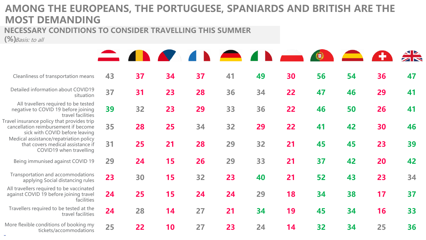## **AMONG THE EUROPEANS, THE PORTUGUESE, SPANIARDS AND BRITISH ARE THE MOST DEMANDING**

#### **NECESSARY CONDITIONS TO CONSIDER TRAVELLING THIS SUMMER**

**(%)**Basis: to all

 $\sim$ 

|                                                                                                                      |    | $\blacksquare$ and $\blacksquare$ |    |    | $\blacksquare$ | $\blacksquare$ |    |    |    |    |    |
|----------------------------------------------------------------------------------------------------------------------|----|-----------------------------------|----|----|----------------|----------------|----|----|----|----|----|
| Cleanliness of transportation means                                                                                  | 43 | 37                                | 34 | 37 | 41             | 49             | 30 | 56 | 54 | 36 | 47 |
| Detailed information about COVID19<br>situation                                                                      | 37 | 31                                | 23 | 28 | 36             | 34             | 22 | 47 | 46 | 29 | 41 |
| All travellers required to be tested<br>negative to COVID 19 before joining<br>travel facilities                     | 39 | 32                                | 23 | 29 | 33             | 36             | 22 | 46 | 50 | 26 | 41 |
| Travel insurance policy that provides trip<br>cancellation reimbursement if become<br>sick with COVID before leaving | 35 | 28                                | 25 | 34 | 32             | 29             | 22 | 41 | 42 | 30 | 46 |
| Medical assistance/repatriation policy<br>that covers medical assistance if<br>COVID19 when travelling               | 31 | 25                                | 21 | 28 | 29             | 32             | 21 | 45 | 45 | 23 | 39 |
| Being immunised against COVID 19                                                                                     | 29 | 24                                | 15 | 26 | 29             | 33             | 21 | 37 | 42 | 20 | 42 |
| Transportation and accommodations<br>applying Social distancing rules                                                | 23 | 30                                | 15 | 32 | 23             | 40             | 21 | 52 | 43 | 23 | 34 |
| All travellers required to be vaccinated<br>against COVID 19 before joining travel<br>facilities                     | 24 | 25                                | 15 | 24 | 24             | 29             | 18 | 34 | 38 | 17 | 37 |
| Travellers required to be tested at the<br>travel facilities                                                         | 24 | 28                                | 14 | 27 | 21             | 34             | 19 | 45 | 34 | 16 | 33 |
| More flexible conditions of booking my<br>tickets/accommodations                                                     | 25 | 22                                | 10 | 27 | 23             | 24             | 14 | 32 | 34 | 25 | 36 |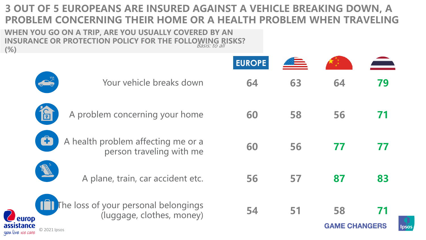## **3 OUT OF 5 EUROPEANS ARE INSURED AGAINST A VEHICLE BREAKING DOWN, A PROBLEM CONCERNING THEIR HOME OR A HEALTH PROBLEM WHEN TRAVELING**

**WHEN YOU GO ON A TRIP, ARE YOU USUALLY COVERED BY AN INSURANCE OR PROTECTION POLICY FOR THE FOLLOWING RISKS? (%)** Basis: to all

|                                         |                                                                                           | <b>EUROPE</b> |    |                            |    |
|-----------------------------------------|-------------------------------------------------------------------------------------------|---------------|----|----------------------------|----|
|                                         | $\frac{1}{2}$<br>Your vehicle breaks down                                                 | 64            | 63 | 64                         | 79 |
|                                         | A problem concerning your home<br>$\overline{\Xi}$                                        | 60            | 58 | 56                         |    |
|                                         | Ô<br>A health problem affecting me or a<br>person traveling with me                       | 60            | 56 |                            |    |
|                                         | PE<br>A plane, train, car accident etc.                                                   | 56            | 57 | 87                         | 83 |
| europ<br>assistance<br>you live we care | The loss of your personal belongings<br>11 H<br>(luggage, clothes, money)<br>© 2021 Ipsos | 54            | 51 | 58<br><b>GAME CHANGERS</b> |    |

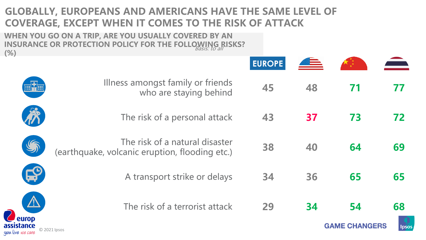## **GLOBALLY, EUROPEANS AND AMERICANS HAVE THE SAME LEVEL OF COVERAGE, EXCEPT WHEN IT COMES TO THE RISK OF ATTACK**

**WHEN YOU GO ON A TRIP, ARE YOU USUALLY COVERED BY AN INSURANCE OR PROTECTION POLICY FOR THE FOLLOWING RISKS? (%)** Basis: to all

| ັ∕                       |                                                                                  | <b>EUROPE</b> |    |                      |      |
|--------------------------|----------------------------------------------------------------------------------|---------------|----|----------------------|------|
|                          | Illness amongst family or friends<br>who are staying behind                      | 45            | 48 | 71                   | 77   |
|                          | The risk of a personal attack                                                    | 43            | 37 | 73                   | 72   |
|                          | The risk of a natural disaster<br>(earthquake, volcanic eruption, flooding etc.) | 38            | 40 | 64                   | 69   |
| <b>Agy</b>               | A transport strike or delays                                                     | 34            | 36 | 65                   | 65   |
| europ                    | The risk of a terrorist attack                                                   | 29            | 34 | 54                   | 68   |
| sistance<br>live we care | © 2021 Ipsos                                                                     |               |    | <b>GAME CHANGERS</b> | lpso |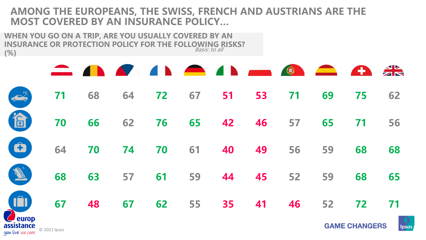### **AMONG THE EUROPEANS, THE SWISS, FRENCH AND AUSTRIANS ARE THE MOST COVERED BY AN INSURANCE POLICY…**

**WHEN YOU GO ON A TRIP, ARE YOU USUALLY COVERED BY AN INSURANCE OR PROTECTION POLICY FOR THE FOLLOWING RISKS? (%)** Basis: to all

|--|

| 62                                  |  |  |  |  |  |  |
|-------------------------------------|--|--|--|--|--|--|
| 10 70 66 62 76 65 42 46 57 65 71 56 |  |  |  |  |  |  |
| • 64 70 74 70 61 40 49 56 59 68 68  |  |  |  |  |  |  |
| 68 63 57 61 59 44 45 52 59 68 65    |  |  |  |  |  |  |
| 67 48 67 62 55 35 41 46 52 72 71    |  |  |  |  |  |  |

**assistance**<br>you live we care © 2021 Ipsos

**GAME CHANGERS** 

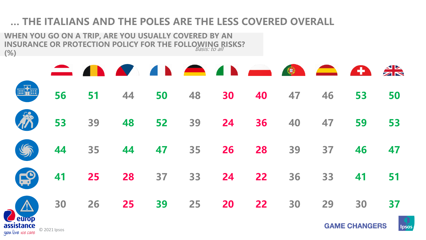## **… THE ITALIANS AND THE POLES ARE THE LESS COVERED OVERALL**

**WHEN YOU GO ON A TRIP, ARE YOU USUALLY COVERED BY AN INSURANCE OR PROTECTION POLICY FOR THE FOLLOWING RISKS? (%)** Basis: to all

|                                                                                                                                                |  | <b>CANAL AND OCEAN</b>     |  |  |  |       |
|------------------------------------------------------------------------------------------------------------------------------------------------|--|----------------------------|--|--|--|-------|
| $\mathbb{H}^2$                                                                                                                                 |  | 56 51 44 50 48 30 40 47 46 |  |  |  | 53 50 |
| 53 39 48 52 39 24 36 40 47 59 53                                                                                                               |  |                            |  |  |  |       |
| 44 35 44 47 35 26 28 39 37 46 47                                                                                                               |  |                            |  |  |  |       |
| $\begin{array}{cccccccccccc} \begin{array}{cccccccccc} \bullet & 41 & 25 & 28 & 37 & 33 & 24 & 22 & 36 & 33 & 41 & 51 \end{array} \end{array}$ |  |                            |  |  |  |       |
| 4 30 26 25 39 25 20 22 30 29 30 37                                                                                                             |  |                            |  |  |  |       |

**assistance**<br>you live we care © 2021 Ipsos

**GAME CHANGERS** 

Ipsos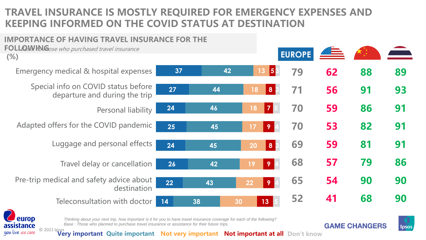## **TRAVEL INSURANCE IS MOSTLY REQUIRED FOR EMERGENCY EXPENSES AND KEEPING INFORMED ON THE COVID STATUS AT DESTINATION**





*Thinking about your next trip, how important is it for you to have travel insurance coverage for each of the following? Base : Those who planned to purchase travel insurance or assistance for their future trips*





**11 StallCe** © 2021 Ipsos<br>*live we care* © 2021 Ipsos<br>*Very important at all* Don't know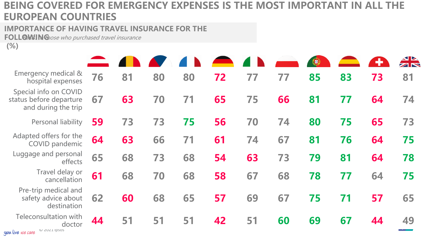## **BEING COVERED FOR EMERGENCY EXPENSES IS THE MOST IMPORTANT IN ALL THE EUROPEAN COUNTRIES**

**IMPORTANCE OF HAVING TRAVEL INSURANCE FOR THE** 

FOLLGWING nose who purchased travel insurance

**(%)**

| Emergency medical &<br>hospital expenses                                | 76 | 81 | 80 | 80 | 72 | 77 | 77 | 85 | 83 | 73 | 81 |
|-------------------------------------------------------------------------|----|----|----|----|----|----|----|----|----|----|----|
| Special info on COVID<br>status before departure<br>and during the trip | 67 | 63 | 70 | 71 | 65 | 75 | 66 | 81 | 77 | 64 | 74 |
| Personal liability                                                      | 59 | 73 | 73 | 75 | 56 | 70 | 74 | 80 | 75 | 65 | 73 |
| Adapted offers for the<br>COVID pandemic                                | 64 | 63 | 66 | 71 | 61 | 74 | 67 | 81 | 76 | 64 | 75 |
| Luggage and personal<br>effects                                         | 65 | 68 | 73 | 68 | 54 | 63 | 73 | 79 | 81 | 64 | 78 |
| Travel delay or<br>cancellation                                         | 61 | 68 | 70 | 68 | 58 | 67 | 68 | 78 | 77 | 64 | 75 |
| Pre-trip medical and<br>safety advice about<br>destination              | 62 | 60 | 68 | 65 | 57 | 69 | 67 | 75 | 71 | 57 | 65 |
| <b>Teleconsultation with</b><br>doctor<br>$101$ $21121$ incoc           | 44 | 51 | 51 | 51 | 42 | 51 | 60 | 69 | 67 | 44 | 49 |

you live we care  $\bigcirc$  zuzi ipsos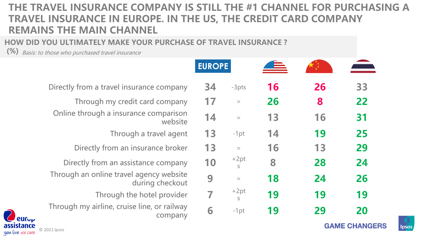## **THE TRAVEL INSURANCE COMPANY IS STILL THE #1 CHANNEL FOR PURCHASING A TRAVEL INSURANCE IN EUROPE. IN THE US, THE CREDIT CARD COMPANY REMAINS THE MAIN CHANNEL**

#### **HOW DID YOU ULTIMATELY MAKE YOUR PURCHASE OF TRAVEL INSURANCE ?**

**(%)** Basis: to those who purchased travel insurance

|                                                                        | <b>EUROPE</b> |             |    |    | ≏                    |
|------------------------------------------------------------------------|---------------|-------------|----|----|----------------------|
| Directly from a travel insurance company                               | 34            | $-3pts$     | 16 | 26 | 33                   |
| Through my credit card company                                         | 17            | $=$         | 26 | 8  | 22                   |
| Online through a insurance comparison<br>website                       | 14            | $=$         | 13 | 16 | 31                   |
| Through a travel agent                                                 | 13            | $-1pt$      | 14 | 19 | 25                   |
| Directly from an insurance broker                                      | 13            | $\quad =$   | 16 | 13 | 29                   |
| Directly from an assistance company                                    | 10            | $+2pt$<br>S | 8  | 28 | 24                   |
| Through an online travel agency website<br>during checkout             | 9             | $=$         | 18 | 24 | 26                   |
| Through the hotel provider                                             | 7             | $+2pt$<br>S | 19 | 19 | 19                   |
| Through my airline, cruise line, or railway<br>company<br><b>europ</b> | 6             | $-1pt$      | 19 | 29 | 20                   |
| assistance<br>© 2021 Ipsos<br>you live we care                         |               |             |    |    | <b>GAME CHANGERS</b> |

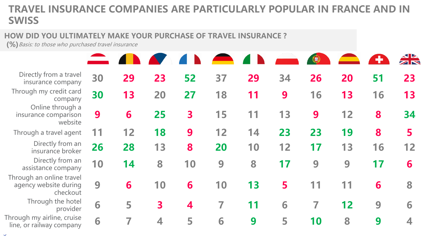## **TRAVEL INSURANCE COMPANIES ARE PARTICULARLY POPULAR IN FRANCE AND IN SWISS**

#### **HOW DID YOU ULTIMATELY MAKE YOUR PURCHASE OF TRAVEL INSURANCE ?**

**(%)**Basis: to those who purchased travel insurance

| Directly from a travel<br>insurance company                   | 30 | 29 | 23                      | 52                      | 37 | 29 | 34 | 26                       | 20 | 51 | 23 |
|---------------------------------------------------------------|----|----|-------------------------|-------------------------|----|----|----|--------------------------|----|----|----|
| Through my credit card<br>company                             | 30 | 13 | 20                      | 27                      | 18 | 11 | 9  | 16                       | 13 | 16 | 13 |
| Online through a<br>insurance comparison<br>website           | 9  | 6  | 25                      | $\overline{\mathbf{3}}$ | 15 | 11 | 13 | 9                        | 12 | 8  | 34 |
| Through a travel agent                                        | 11 | 12 | 18                      | 9                       | 12 | 14 | 23 | 23                       | 19 | 8  | 5  |
| Directly from an<br>insurance broker                          | 26 | 28 | 13                      | 8                       | 20 | 10 | 12 | 17                       | 13 | 16 | 12 |
| Directly from an<br>assistance company                        | 10 | 14 | 8                       | 10                      | 9  | 8  | 17 | 9                        | 9  | 17 | 6  |
| Through an online travel<br>agency website during<br>checkout | 9  | 6  | 10                      | 6                       | 10 | 13 | 5  | 11                       |    | 6  | 8  |
| Through the hotel<br>provider                                 | 6  | 5  | $\overline{\mathbf{3}}$ | 4                       | 7  | 11 | 6  | $\overline{\mathcal{L}}$ | 12 | 9  | 6  |
| Through my airline, cruise<br>line, or railway company        | 6  |    |                         | 5                       | 6  | 9  | 5  | 10                       | 8  | 9  |    |

 $\ddot{\phantom{0}}$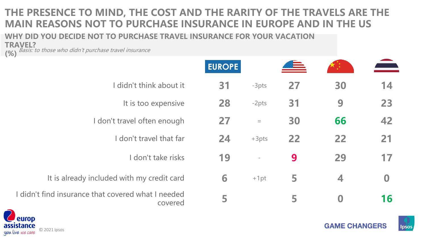## **THE PRESENCE TO MIND, THE COST AND THE RARITY OF THE TRAVELS ARE THE MAIN REASONS NOT TO PURCHASE INSURANCE IN EUROPE AND IN THE US**

**WHY DID YOU DECIDE NOT TO PURCHASE TRAVEL INSURANCE FOR YOUR VACATION** 

**TRAVEL?**<br>(%) <sup>*Basis: t*</sup> **Basis:** to those who didn't purchase travel insurance

|                                                               | <b>EUROPE</b> |                   |    |                  | $\blacksquare$ |
|---------------------------------------------------------------|---------------|-------------------|----|------------------|----------------|
| I didn't think about it                                       | 31            | $-3pts$           | 27 | 30               | 14             |
| It is too expensive                                           | 28            | -2pts             | 31 | 9                | 23             |
| I don't travel often enough                                   | 27            | $\equiv$          | 30 | 66               | 42             |
| don't travel that far                                         | 24            | $+3pts$           | 22 | 22               | 21             |
| don't take risks                                              | 19            | $\qquad \qquad -$ | 9  | 29               | 17             |
| It is already included with my credit card                    | 6             | $+1pt$            | 5  | 4                | $\bf{0}$       |
| I didn't find insurance that covered what I needed<br>covered | 5             |                   | 5  | $\boldsymbol{0}$ | 16             |



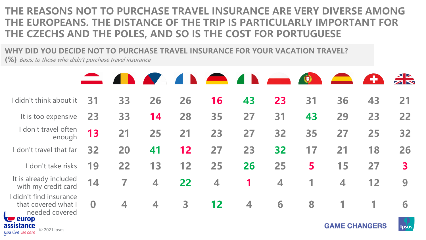## **THE REASONS NOT TO PURCHASE TRAVEL INSURANCE ARE VERY DIVERSE AMONG THE EUROPEANS. THE DISTANCE OF THE TRIP IS PARTICULARLY IMPORTANT FOR THE CZECHS AND THE POLES, AND SO IS THE COST FOR PORTUGUESE**

**WHY DID YOU DECIDE NOT TO PURCHASE TRAVEL INSURANCE FOR YOUR VACATION TRAVEL?** 

**(%)** Basis: to those who didn't purchase travel insurance

|                                                                                  |          |    |                      |    | $\blacksquare$ |                         |    | $\bigcirc$ |                         | $\bullet$ |        |
|----------------------------------------------------------------------------------|----------|----|----------------------|----|----------------|-------------------------|----|------------|-------------------------|-----------|--------|
| I didn't think about it                                                          | 31       | 33 | 26                   | 26 | 16             | 43                      | 23 | 31         | 36                      | 43        | 21     |
| It is too expensive                                                              | 23       | 33 | 14                   | 28 | 35             | 27                      | 31 | 43         | 29                      | 23        | 22     |
| I don't travel often<br>enough                                                   | 13       | 21 | 25                   | 21 | 23             | 27                      | 32 | 35         | 27                      | 25        | 32     |
| I don't travel that far                                                          | 32       | 20 | 41                   | 12 | 27             | 23                      | 32 | 17         | 21                      | 18        | 26     |
| don't take risks                                                                 | 19       | 22 | 13                   | 12 | 25             | 26                      | 25 | 5          | 15                      | 27        | 3      |
| It is already included<br>with my credit card                                    | 14       | 7  | $\blacktriangleleft$ | 22 | 4              | 1                       | 4  |            | $\overline{\mathbf{4}}$ | 12        | 9      |
| didn't find insurance<br>that covered what I<br>needed covered<br><b>C</b> europ | $\bf{0}$ | 4  | 4                    | 3  | 12             | $\overline{\mathbf{4}}$ | 6  | 8          | 1                       |           | 6      |
| assistance                                                                       |          |    |                      |    |                |                         |    |            | <b>GAME CHANGERS</b>    |           | lpsos. |

*uou live we care*  $\odot$  2021 Ipsos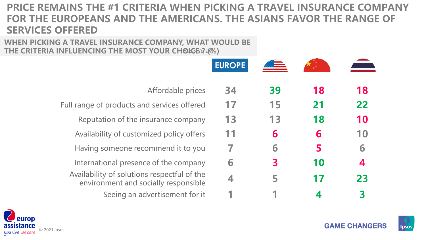## **PRICE REMAINS THE #1 CRITERIA WHEN PICKING A TRAVEL INSURANCE COMPANY FOR THE EUROPEANS AND THE AMERICANS. THE ASIANS FAVOR THE RANGE OF SERVICES OFFERED**

#### **WHEN PICKING A TRAVEL INSURANCE COMPANY, WHAT WOULD BE**  THE CRITERIA INFLUENCING THE MOST YOUR CHOICE? 4%)

|                                                                                     | <b>EUROPE</b> |    |    |    |
|-------------------------------------------------------------------------------------|---------------|----|----|----|
| Affordable prices                                                                   | 34            | 39 | 18 | 18 |
| Full range of products and services offered                                         |               | 15 | 21 | 22 |
| Reputation of the insurance company                                                 | 13            | 13 | 18 | 10 |
| Availability of customized policy offers                                            | 11            | 6  | 6  | 10 |
| Having someone recommend it to you                                                  |               | 6  | 5  | 6  |
| International presence of the company                                               | 6             | 3  | 10 | 4  |
| Availability of solutions respectful of the<br>environment and socially responsible |               | 5  | 17 | 23 |
| Seeing an advertisement for it                                                      |               |    |    |    |





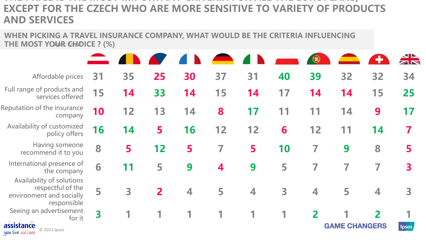## **THE PRICE IS THE MOST IMPORTANT CRITERIA FOR ALL THE EUROPEANS, EXCEPT FOR THE CZECH WHO ARE MORE SENSITIVE TO VARIETY OF PRODUCTS AND SERVICES**

**WHEN PICKING A TRAVEL INSURANCE COMPANY, WHAT WOULD BE THE CRITERIA INFLUENCING THE MOST YOUR CHOICE ? (%)** 

| Affordable prices                                                                         | 31 | 35 | 25             | 30 | 37 | 31 | 40 | 39               | 32                   | 32                       | 34           |
|-------------------------------------------------------------------------------------------|----|----|----------------|----|----|----|----|------------------|----------------------|--------------------------|--------------|
| Full range of products and<br>services offered                                            | 15 | 14 | 33             | 14 | 15 | 14 | 17 | 14               | 14                   | 15                       | 25           |
| Reputation of the insurance<br>company                                                    | 10 | 12 | 13             | 14 | 8  | 17 |    | 11               | 14                   | 9                        | 17           |
| Availability of customized<br>policy offers                                               | 16 | 14 | 5              | 16 | 12 | 12 | 6  | 12               | 11                   | 14                       | 7            |
| Having someone<br>recommend it to you                                                     | 8  | 5  | 12             | 5  |    | 5  | 10 | 7                | 9                    | 8                        | 5            |
| International presence of<br>the company                                                  | 6  | 11 | 5              | 9  | 4  | 9  | 5  | 7                |                      | 7                        | 3            |
| Availability of solutions<br>respectful of the<br>environment and socially<br>responsible | 5  | 3  | $\overline{2}$ | 4  | 5  | 4  | 3  | $\blacktriangle$ | 5                    | $\overline{\mathcal{A}}$ | 3            |
| Seeing an advertisement<br>for it<br>assistance<br>C 2021 Ipsos<br>you live we care       | 3  |    |                |    |    |    |    |                  | <b>GAME CHANGERS</b> | $\overline{\mathbf{z}}$  | <b>Ipsos</b> |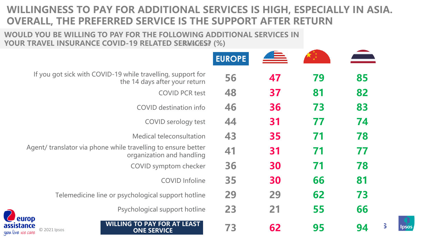## **WILLINGNESS TO PAY FOR ADDITIONAL SERVICES IS HIGH, ESPECIALLY IN ASIA. OVERALL, THE PREFERRED SERVICE IS THE SUPPORT AFTER RETURN**

#### **WOULD YOU BE WILLING TO PAY FOR THE FOLLOWING ADDITIONAL SERVICES IN**  YOUR TRAVEL INSURANCE COVID-19 RELATED SER<del>WIGES</del>? (%)

| If you got sick with COVID-19 while travelling, support for<br>56<br>47<br>79<br>85<br>the 14 days after your return<br>82<br>37<br>81<br>48<br><b>COVID PCR test</b> |  |
|-----------------------------------------------------------------------------------------------------------------------------------------------------------------------|--|
|                                                                                                                                                                       |  |
|                                                                                                                                                                       |  |
| 83<br>46<br>36<br>73<br><b>COVID</b> destination info                                                                                                                 |  |
| 74<br>31<br>77<br>44<br>COVID serology test                                                                                                                           |  |
| 78<br>43<br>35<br>71<br>Medical teleconsultation                                                                                                                      |  |
| Agent/ translator via phone while travelling to ensure better<br>41<br>77<br>31<br>71<br>organization and handling                                                    |  |
| 78<br>30<br>71<br>36<br>COVID symptom checker                                                                                                                         |  |
| 81<br>35<br>30<br>66<br><b>COVID Infoline</b>                                                                                                                         |  |
| 73<br>29<br>62<br>29<br>Telemedicine line or psychological support hotline                                                                                            |  |
| 66<br>23<br>21<br>55<br>Psychological support hotline                                                                                                                 |  |
| europ<br><b>WILLING TO PAY FOR AT LEAST</b><br>sistance<br>73<br>62<br>95<br>94<br>© 2021 Ipsos<br><b>ONE SERVICE</b><br>live we care                                 |  |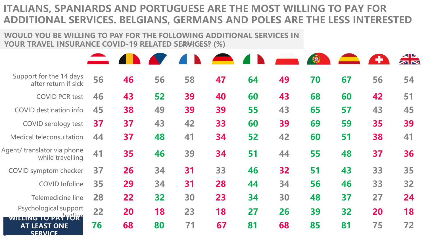## **ITALIANS, SPANIARDS AND PORTUGUESE ARE THE MOST WILLING TO PAY FOR ADDITIONAL SERVICES. BELGIANS, GERMANS AND POLES ARE THE LESS INTERESTED**

#### **WOULD YOU BE WILLING TO PAY FOR THE FOLLOWING ADDITIONAL SERVICES IN YOUR TRAVEL INSURANCE COVID-19 RELATED SERVICES? (%)** Basis: to all

|                                                              |    |    |    |    |    |    |    | ⊕  |    |    |    |
|--------------------------------------------------------------|----|----|----|----|----|----|----|----|----|----|----|
| Support for the 14 days<br>after return if sick              | 56 | 46 | 56 | 58 | 47 | 64 | 49 | 70 | 67 | 56 | 54 |
| <b>COVID PCR test</b>                                        | 46 | 43 | 52 | 39 | 40 | 60 | 43 | 68 | 60 | 42 | 51 |
| <b>COVID</b> destination info                                | 45 | 38 | 49 | 39 | 39 | 55 | 43 | 65 | 57 | 43 | 45 |
| COVID serology test                                          | 37 | 37 | 43 | 42 | 33 | 60 | 39 | 69 | 59 | 35 | 39 |
| Medical teleconsultation                                     | 44 | 37 | 48 | 41 | 34 | 52 | 42 | 60 | 51 | 38 | 41 |
| Agent/ translator via phone<br>while travelling              | 41 | 35 | 46 | 39 | 34 | 51 | 44 | 55 | 48 | 37 | 36 |
| COVID symptom checker                                        | 37 | 26 | 34 | 31 | 33 | 46 | 32 | 51 | 43 | 33 | 35 |
| <b>COVID Infoline</b>                                        | 35 | 29 | 34 | 31 | 28 | 44 | 34 | 56 | 46 | 33 | 32 |
| Telemedicine line                                            | 28 | 22 | 32 | 30 | 23 | 34 | 30 | 48 | 37 | 27 | 24 |
| Psychological support                                        | 22 | 20 | 18 | 23 | 18 | 27 | 26 | 39 | 32 | 20 | 18 |
| WILLING TO PAY FURE<br><b>AT LEAST ONE</b><br><b>SERVICE</b> | 76 | 68 | 80 | 71 | 67 | 81 | 68 | 85 | 81 | 75 | 72 |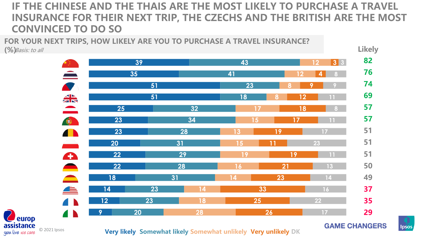## **IF THE CHINESE AND THE THAIS ARE THE MOST LIKELY TO PURCHASE A TRAVEL INSURANCE FOR THEIR NEXT TRIP, THE CZECHS AND THE BRITISH ARE THE MOST CONVINCED TO DO SO**

**FOR YOUR NEXT TRIPS, HOW LIKELY ARE YOU TO PURCHASE A TRAVEL INSURANCE?** 

**(%)** Basis: to all



**assistance**<br>you live we care © 2021 Ipsos

europ

**Very likely Somewhat likely Somewhat unlikely Very unlikely DK**

**GAME CHANGERS** 

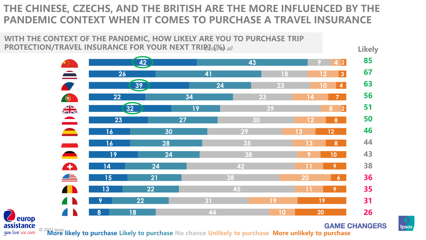## **THE CHINESE, CZECHS, AND THE BRITISH ARE THE MORE INFLUENCED BY THE PANDEMIC CONTEXT WHEN IT COMES TO PURCHASE A TRAVEL INSURANCE**



**SIStance**<br>live we care © 2021 Ipsos **likely to purchase Likely to purchase** No chance Unlikely to purchase More unlikely to purchase